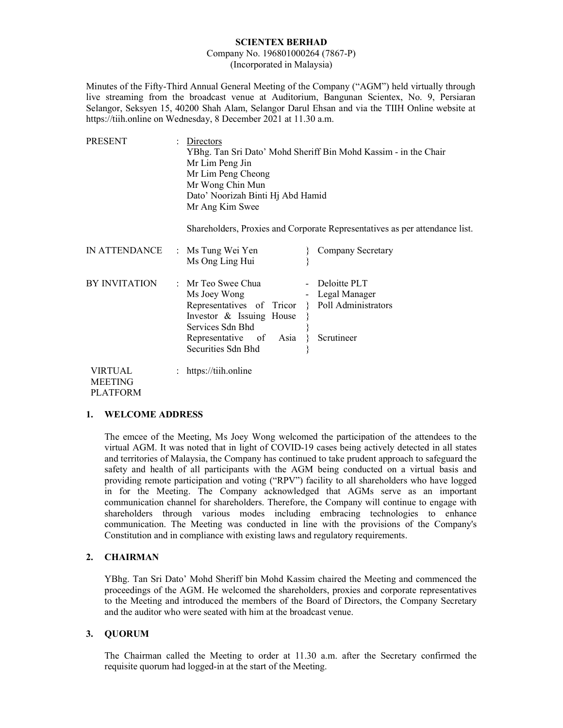#### SCIENTEX BERHAD

#### Company No. 196801000264 (7867-P) (Incorporated in Malaysia)

Minutes of the Fifty-Third Annual General Meeting of the Company ("AGM") held virtually through live streaming from the broadcast venue at Auditorium, Bangunan Scientex, No. 9, Persiaran Selangor, Seksyen 15, 40200 Shah Alam, Selangor Darul Ehsan and via the TIIH Online website at https://tiih.online on Wednesday, 8 December 2021 at 11.30 a.m.

| PRESENT                   | Directors<br>YBhg. Tan Sri Dato' Mohd Sheriff Bin Mohd Kassim - in the Chair<br>Mr Lim Peng Jin<br>Mr Lim Peng Cheong<br>Mr Wong Chin Mun<br>Dato' Noorizah Binti Hj Abd Hamid<br>Mr Ang Kim Swee                                        |  |
|---------------------------|------------------------------------------------------------------------------------------------------------------------------------------------------------------------------------------------------------------------------------------|--|
|                           | Shareholders, Proxies and Corporate Representatives as per attendance list.                                                                                                                                                              |  |
| IN ATTENDANCE             | : Ms Tung Wei Yen<br>Company Secretary<br>Ms Ong Ling Hui                                                                                                                                                                                |  |
| BY INVITATION             | : Mr Teo Swee Chua<br>- Deloitte PLT<br>- Legal Manager<br>Ms Joey Wong<br>Representatives of Tricor } Poll Administrators<br>Investor & Issuing House<br>Services Sdn Bhd<br>Scrutineer<br>Representative of Asia<br>Securities Sdn Bhd |  |
| VIRTUAL<br><b>MEETING</b> | https://tiih.online                                                                                                                                                                                                                      |  |

PLATFORM

#### 1. WELCOME ADDRESS

The emcee of the Meeting, Ms Joey Wong welcomed the participation of the attendees to the virtual AGM. It was noted that in light of COVID-19 cases being actively detected in all states and territories of Malaysia, the Company has continued to take prudent approach to safeguard the safety and health of all participants with the AGM being conducted on a virtual basis and providing remote participation and voting ("RPV") facility to all shareholders who have logged in for the Meeting. The Company acknowledged that AGMs serve as an important communication channel for shareholders. Therefore, the Company will continue to engage with shareholders through various modes including embracing technologies to enhance communication. The Meeting was conducted in line with the provisions of the Company's Constitution and in compliance with existing laws and regulatory requirements.

#### 2. CHAIRMAN

 YBhg. Tan Sri Dato' Mohd Sheriff bin Mohd Kassim chaired the Meeting and commenced the proceedings of the AGM. He welcomed the shareholders, proxies and corporate representatives to the Meeting and introduced the members of the Board of Directors, the Company Secretary and the auditor who were seated with him at the broadcast venue.

#### 3. QUORUM

 The Chairman called the Meeting to order at 11.30 a.m. after the Secretary confirmed the requisite quorum had logged-in at the start of the Meeting.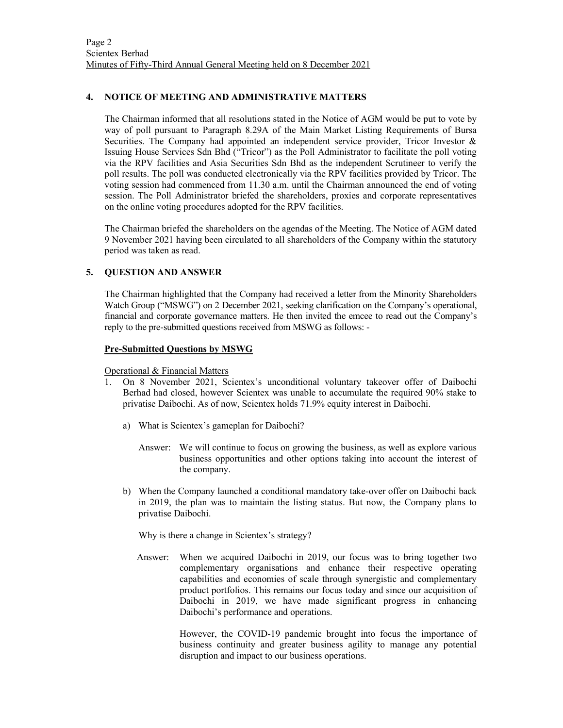#### 4. NOTICE OF MEETING AND ADMINISTRATIVE MATTERS

The Chairman informed that all resolutions stated in the Notice of AGM would be put to vote by way of poll pursuant to Paragraph 8.29A of the Main Market Listing Requirements of Bursa Securities. The Company had appointed an independent service provider, Tricor Investor & Issuing House Services Sdn Bhd ("Tricor") as the Poll Administrator to facilitate the poll voting via the RPV facilities and Asia Securities Sdn Bhd as the independent Scrutineer to verify the poll results. The poll was conducted electronically via the RPV facilities provided by Tricor. The voting session had commenced from 11.30 a.m. until the Chairman announced the end of voting session. The Poll Administrator briefed the shareholders, proxies and corporate representatives on the online voting procedures adopted for the RPV facilities.

The Chairman briefed the shareholders on the agendas of the Meeting. The Notice of AGM dated 9 November 2021 having been circulated to all shareholders of the Company within the statutory period was taken as read.

## 5. QUESTION AND ANSWER

The Chairman highlighted that the Company had received a letter from the Minority Shareholders Watch Group ("MSWG") on 2 December 2021, seeking clarification on the Company's operational, financial and corporate governance matters. He then invited the emcee to read out the Company's reply to the pre-submitted questions received from MSWG as follows: -

#### Pre-Submitted Questions by MSWG

Operational & Financial Matters

- 1. On 8 November 2021, Scientex's unconditional voluntary takeover offer of Daibochi Berhad had closed, however Scientex was unable to accumulate the required 90% stake to privatise Daibochi. As of now, Scientex holds 71.9% equity interest in Daibochi.
	- a) What is Scientex's gameplan for Daibochi?
		- Answer: We will continue to focus on growing the business, as well as explore various business opportunities and other options taking into account the interest of the company.
	- b) When the Company launched a conditional mandatory take-over offer on Daibochi back in 2019, the plan was to maintain the listing status. But now, the Company plans to privatise Daibochi.

Why is there a change in Scientex's strategy?

 Answer: When we acquired Daibochi in 2019, our focus was to bring together two complementary organisations and enhance their respective operating capabilities and economies of scale through synergistic and complementary product portfolios. This remains our focus today and since our acquisition of Daibochi in 2019, we have made significant progress in enhancing Daibochi's performance and operations.

> However, the COVID-19 pandemic brought into focus the importance of business continuity and greater business agility to manage any potential disruption and impact to our business operations.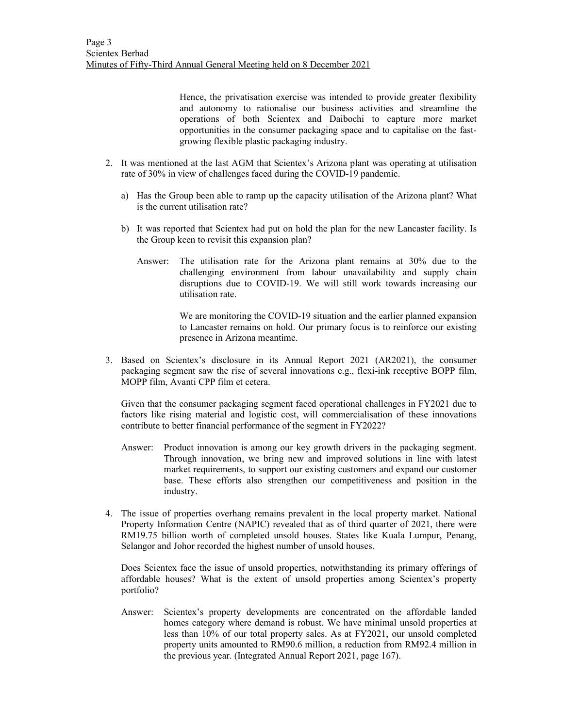Hence, the privatisation exercise was intended to provide greater flexibility and autonomy to rationalise our business activities and streamline the operations of both Scientex and Daibochi to capture more market opportunities in the consumer packaging space and to capitalise on the fastgrowing flexible plastic packaging industry.

- 2. It was mentioned at the last AGM that Scientex's Arizona plant was operating at utilisation rate of 30% in view of challenges faced during the COVID-19 pandemic.
	- a) Has the Group been able to ramp up the capacity utilisation of the Arizona plant? What is the current utilisation rate?
	- b) It was reported that Scientex had put on hold the plan for the new Lancaster facility. Is the Group keen to revisit this expansion plan?
		- Answer: The utilisation rate for the Arizona plant remains at 30% due to the challenging environment from labour unavailability and supply chain disruptions due to COVID-19. We will still work towards increasing our utilisation rate.

We are monitoring the COVID-19 situation and the earlier planned expansion to Lancaster remains on hold. Our primary focus is to reinforce our existing presence in Arizona meantime.

3. Based on Scientex's disclosure in its Annual Report 2021 (AR2021), the consumer packaging segment saw the rise of several innovations e.g., flexi-ink receptive BOPP film, MOPP film, Avanti CPP film et cetera.

Given that the consumer packaging segment faced operational challenges in FY2021 due to factors like rising material and logistic cost, will commercialisation of these innovations contribute to better financial performance of the segment in FY2022?

- Answer: Product innovation is among our key growth drivers in the packaging segment. Through innovation, we bring new and improved solutions in line with latest market requirements, to support our existing customers and expand our customer base. These efforts also strengthen our competitiveness and position in the industry.
- 4. The issue of properties overhang remains prevalent in the local property market. National Property Information Centre (NAPIC) revealed that as of third quarter of 2021, there were RM19.75 billion worth of completed unsold houses. States like Kuala Lumpur, Penang, Selangor and Johor recorded the highest number of unsold houses.

Does Scientex face the issue of unsold properties, notwithstanding its primary offerings of affordable houses? What is the extent of unsold properties among Scientex's property portfolio?

Answer: Scientex's property developments are concentrated on the affordable landed homes category where demand is robust. We have minimal unsold properties at less than 10% of our total property sales. As at FY2021, our unsold completed property units amounted to RM90.6 million, a reduction from RM92.4 million in the previous year. (Integrated Annual Report 2021, page 167).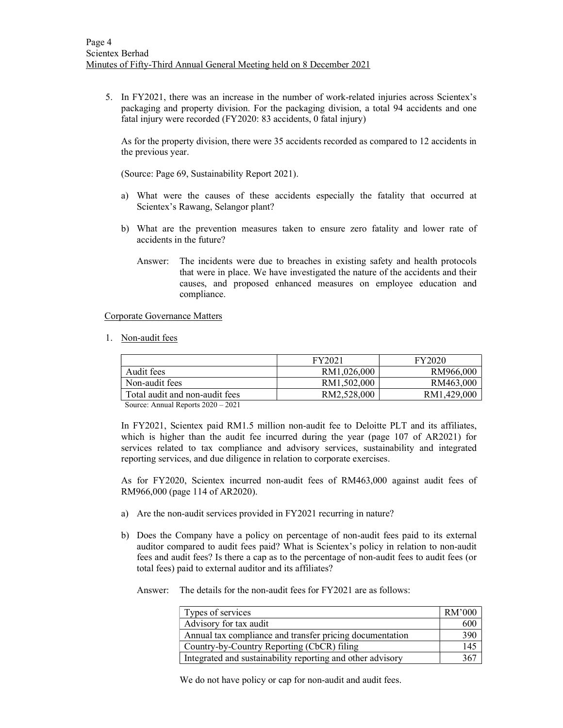5. In FY2021, there was an increase in the number of work-related injuries across Scientex's packaging and property division. For the packaging division, a total 94 accidents and one fatal injury were recorded (FY2020: 83 accidents, 0 fatal injury)

As for the property division, there were 35 accidents recorded as compared to 12 accidents in the previous year.

(Source: Page 69, Sustainability Report 2021).

- a) What were the causes of these accidents especially the fatality that occurred at Scientex's Rawang, Selangor plant?
- b) What are the prevention measures taken to ensure zero fatality and lower rate of accidents in the future?
	- Answer: The incidents were due to breaches in existing safety and health protocols that were in place. We have investigated the nature of the accidents and their causes, and proposed enhanced measures on employee education and compliance.

Corporate Governance Matters

1. Non-audit fees

|                                   | FY2021      | FY2020      |
|-----------------------------------|-------------|-------------|
| Audit fees                        | RM1.026.000 | RM966,000   |
| Non-audit fees                    | RM1.502.000 | RM463,000   |
| Total audit and non-audit fees    | RM2.528,000 | RM1.429,000 |
| $Scurax$ Annual Departs 2020 2021 |             |             |

Source: Annual Reports 2020 – 2021

 In FY2021, Scientex paid RM1.5 million non-audit fee to Deloitte PLT and its affiliates, which is higher than the audit fee incurred during the year (page 107 of AR2021) for services related to tax compliance and advisory services, sustainability and integrated reporting services, and due diligence in relation to corporate exercises.

 As for FY2020, Scientex incurred non-audit fees of RM463,000 against audit fees of RM966,000 (page 114 of AR2020).

- a) Are the non-audit services provided in FY2021 recurring in nature?
- b) Does the Company have a policy on percentage of non-audit fees paid to its external auditor compared to audit fees paid? What is Scientex's policy in relation to non-audit fees and audit fees? Is there a cap as to the percentage of non-audit fees to audit fees (or total fees) paid to external auditor and its affiliates?

Answer: The details for the non-audit fees for FY2021 are as follows:

| Types of services                                          | RM'000 |
|------------------------------------------------------------|--------|
| Advisory for tax audit                                     | 600    |
| Annual tax compliance and transfer pricing documentation   | 390    |
| Country-by-Country Reporting (CbCR) filing                 | 145    |
| Integrated and sustainability reporting and other advisory | 367    |

We do not have policy or cap for non-audit and audit fees.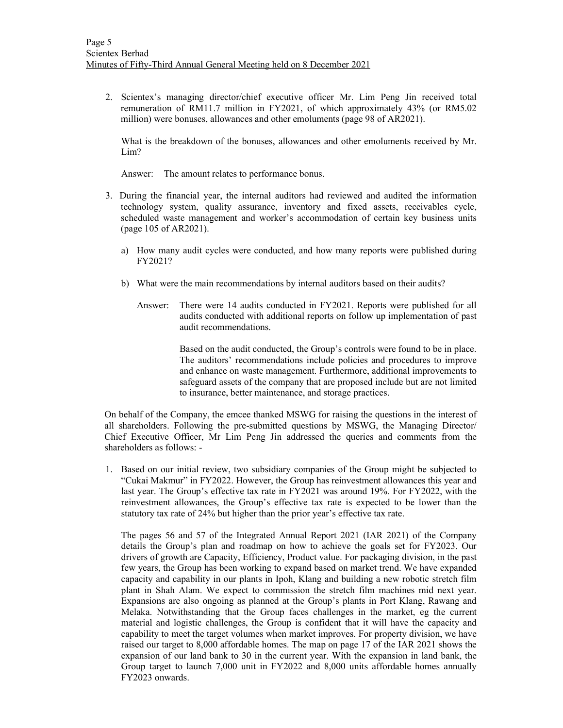2. Scientex's managing director/chief executive officer Mr. Lim Peng Jin received total remuneration of RM11.7 million in FY2021, of which approximately 43% (or RM5.02 million) were bonuses, allowances and other emoluments (page 98 of AR2021).

What is the breakdown of the bonuses, allowances and other emoluments received by Mr. Lim?

Answer: The amount relates to performance bonus.

- 3. During the financial year, the internal auditors had reviewed and audited the information technology system, quality assurance, inventory and fixed assets, receivables cycle, scheduled waste management and worker's accommodation of certain key business units (page 105 of AR2021).
	- a) How many audit cycles were conducted, and how many reports were published during FY2021?
	- b) What were the main recommendations by internal auditors based on their audits?
		- Answer: There were 14 audits conducted in FY2021. Reports were published for all audits conducted with additional reports on follow up implementation of past audit recommendations.

Based on the audit conducted, the Group's controls were found to be in place. The auditors' recommendations include policies and procedures to improve and enhance on waste management. Furthermore, additional improvements to safeguard assets of the company that are proposed include but are not limited to insurance, better maintenance, and storage practices.

On behalf of the Company, the emcee thanked MSWG for raising the questions in the interest of all shareholders. Following the pre-submitted questions by MSWG, the Managing Director/ Chief Executive Officer, Mr Lim Peng Jin addressed the queries and comments from the shareholders as follows: -

1. Based on our initial review, two subsidiary companies of the Group might be subjected to "Cukai Makmur" in FY2022. However, the Group has reinvestment allowances this year and last year. The Group's effective tax rate in FY2021 was around 19%. For FY2022, with the reinvestment allowances, the Group's effective tax rate is expected to be lower than the statutory tax rate of 24% but higher than the prior year's effective tax rate.

The pages 56 and 57 of the Integrated Annual Report 2021 (IAR 2021) of the Company details the Group's plan and roadmap on how to achieve the goals set for FY2023. Our drivers of growth are Capacity, Efficiency, Product value. For packaging division, in the past few years, the Group has been working to expand based on market trend. We have expanded capacity and capability in our plants in Ipoh, Klang and building a new robotic stretch film plant in Shah Alam. We expect to commission the stretch film machines mid next year. Expansions are also ongoing as planned at the Group's plants in Port Klang, Rawang and Melaka. Notwithstanding that the Group faces challenges in the market, eg the current material and logistic challenges, the Group is confident that it will have the capacity and capability to meet the target volumes when market improves. For property division, we have raised our target to 8,000 affordable homes. The map on page 17 of the IAR 2021 shows the expansion of our land bank to 30 in the current year. With the expansion in land bank, the Group target to launch 7,000 unit in FY2022 and 8,000 units affordable homes annually FY2023 onwards.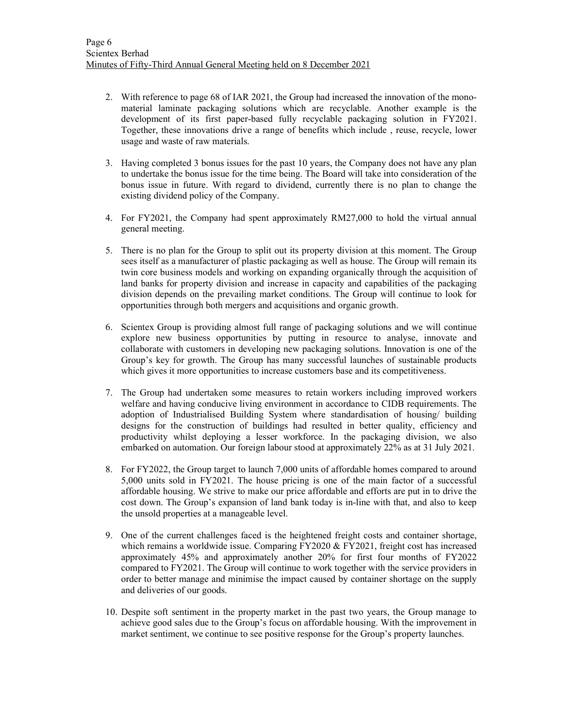- 2. With reference to page 68 of IAR 2021, the Group had increased the innovation of the monomaterial laminate packaging solutions which are recyclable. Another example is the development of its first paper-based fully recyclable packaging solution in FY2021. Together, these innovations drive a range of benefits which include , reuse, recycle, lower usage and waste of raw materials.
- 3. Having completed 3 bonus issues for the past 10 years, the Company does not have any plan to undertake the bonus issue for the time being. The Board will take into consideration of the bonus issue in future. With regard to dividend, currently there is no plan to change the existing dividend policy of the Company.
- 4. For FY2021, the Company had spent approximately RM27,000 to hold the virtual annual general meeting.
- 5. There is no plan for the Group to split out its property division at this moment. The Group sees itself as a manufacturer of plastic packaging as well as house. The Group will remain its twin core business models and working on expanding organically through the acquisition of land banks for property division and increase in capacity and capabilities of the packaging division depends on the prevailing market conditions. The Group will continue to look for opportunities through both mergers and acquisitions and organic growth.
- 6. Scientex Group is providing almost full range of packaging solutions and we will continue explore new business opportunities by putting in resource to analyse, innovate and collaborate with customers in developing new packaging solutions. Innovation is one of the Group's key for growth. The Group has many successful launches of sustainable products which gives it more opportunities to increase customers base and its competitiveness.
- 7. The Group had undertaken some measures to retain workers including improved workers welfare and having conducive living environment in accordance to CIDB requirements. The adoption of Industrialised Building System where standardisation of housing/ building designs for the construction of buildings had resulted in better quality, efficiency and productivity whilst deploying a lesser workforce. In the packaging division, we also embarked on automation. Our foreign labour stood at approximately 22% as at 31 July 2021.
- 8. For FY2022, the Group target to launch 7,000 units of affordable homes compared to around 5,000 units sold in FY2021. The house pricing is one of the main factor of a successful affordable housing. We strive to make our price affordable and efforts are put in to drive the cost down. The Group's expansion of land bank today is in-line with that, and also to keep the unsold properties at a manageable level.
- 9. One of the current challenges faced is the heightened freight costs and container shortage, which remains a worldwide issue. Comparing FY2020 & FY2021, freight cost has increased approximately 45% and approximately another 20% for first four months of FY2022 compared to FY2021. The Group will continue to work together with the service providers in order to better manage and minimise the impact caused by container shortage on the supply and deliveries of our goods.
- 10. Despite soft sentiment in the property market in the past two years, the Group manage to achieve good sales due to the Group's focus on affordable housing. With the improvement in market sentiment, we continue to see positive response for the Group's property launches.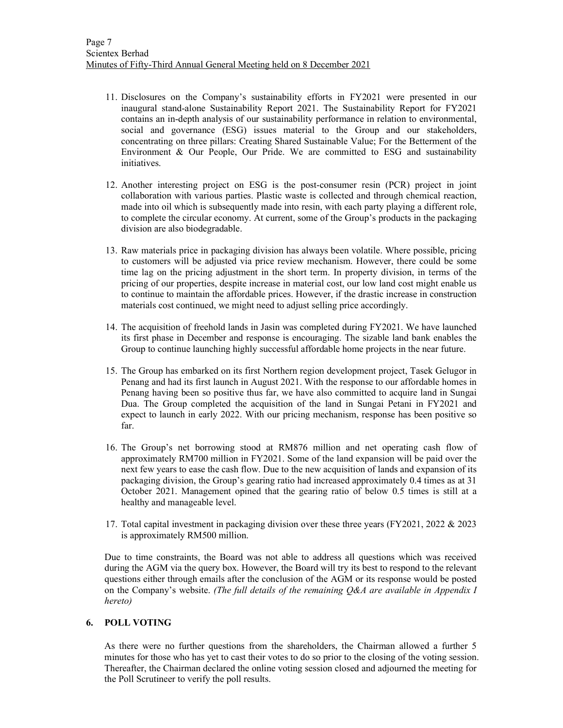- 11. Disclosures on the Company's sustainability efforts in FY2021 were presented in our inaugural stand-alone Sustainability Report 2021. The Sustainability Report for FY2021 contains an in-depth analysis of our sustainability performance in relation to environmental, social and governance (ESG) issues material to the Group and our stakeholders, concentrating on three pillars: Creating Shared Sustainable Value; For the Betterment of the Environment & Our People, Our Pride. We are committed to ESG and sustainability initiatives.
- 12. Another interesting project on ESG is the post-consumer resin (PCR) project in joint collaboration with various parties. Plastic waste is collected and through chemical reaction, made into oil which is subsequently made into resin, with each party playing a different role, to complete the circular economy. At current, some of the Group's products in the packaging division are also biodegradable.
- 13. Raw materials price in packaging division has always been volatile. Where possible, pricing to customers will be adjusted via price review mechanism. However, there could be some time lag on the pricing adjustment in the short term. In property division, in terms of the pricing of our properties, despite increase in material cost, our low land cost might enable us to continue to maintain the affordable prices. However, if the drastic increase in construction materials cost continued, we might need to adjust selling price accordingly.
- 14. The acquisition of freehold lands in Jasin was completed during FY2021. We have launched its first phase in December and response is encouraging. The sizable land bank enables the Group to continue launching highly successful affordable home projects in the near future.
- 15. The Group has embarked on its first Northern region development project, Tasek Gelugor in Penang and had its first launch in August 2021. With the response to our affordable homes in Penang having been so positive thus far, we have also committed to acquire land in Sungai Dua. The Group completed the acquisition of the land in Sungai Petani in FY2021 and expect to launch in early 2022. With our pricing mechanism, response has been positive so far.
- 16. The Group's net borrowing stood at RM876 million and net operating cash flow of approximately RM700 million in FY2021. Some of the land expansion will be paid over the next few years to ease the cash flow. Due to the new acquisition of lands and expansion of its packaging division, the Group's gearing ratio had increased approximately 0.4 times as at 31 October 2021. Management opined that the gearing ratio of below 0.5 times is still at a healthy and manageable level.
- 17. Total capital investment in packaging division over these three years (FY2021, 2022 & 2023 is approximately RM500 million.

Due to time constraints, the Board was not able to address all questions which was received during the AGM via the query box. However, the Board will try its best to respond to the relevant questions either through emails after the conclusion of the AGM or its response would be posted on the Company's website. (The full details of the remaining  $O\&\&A$  are available in Appendix I hereto)

## 6. POLL VOTING

As there were no further questions from the shareholders, the Chairman allowed a further 5 minutes for those who has yet to cast their votes to do so prior to the closing of the voting session. Thereafter, the Chairman declared the online voting session closed and adjourned the meeting for the Poll Scrutineer to verify the poll results.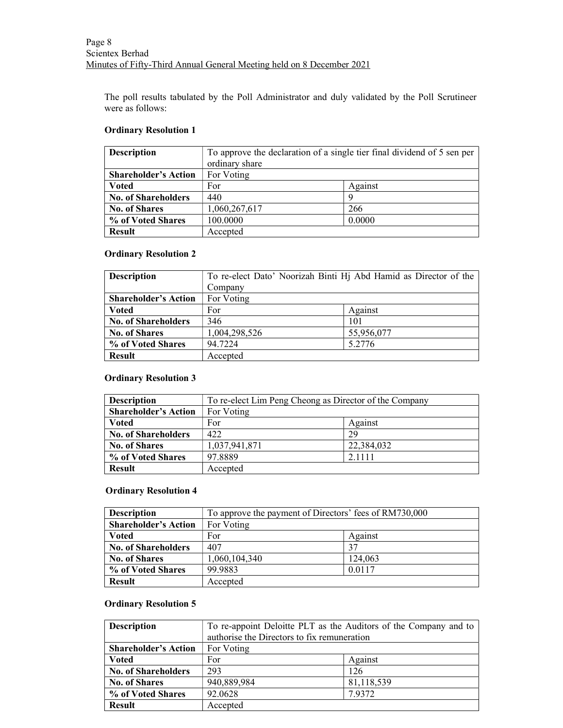The poll results tabulated by the Poll Administrator and duly validated by the Poll Scrutineer were as follows:

## Ordinary Resolution 1

| <b>Description</b>          | To approve the declaration of a single tier final dividend of 5 sen per |         |
|-----------------------------|-------------------------------------------------------------------------|---------|
|                             | ordinary share                                                          |         |
| <b>Shareholder's Action</b> | For Voting                                                              |         |
| <b>V</b> oted               | For                                                                     | Against |
| <b>No. of Shareholders</b>  | 440                                                                     | Q       |
| <b>No. of Shares</b>        | 1,060,267,617                                                           | 266     |
| % of Voted Shares           | 100.0000                                                                | 0.0000  |
| <b>Result</b>               | Accepted                                                                |         |

## Ordinary Resolution 2

| <b>Description</b>          | To re-elect Dato' Noorizah Binti Hj Abd Hamid as Director of the |            |
|-----------------------------|------------------------------------------------------------------|------------|
|                             | Company                                                          |            |
| <b>Shareholder's Action</b> | For Voting                                                       |            |
| <b>Voted</b>                | For                                                              | Against    |
| <b>No. of Shareholders</b>  | 346                                                              | 101        |
| <b>No. of Shares</b>        | 1,004,298,526                                                    | 55,956,077 |
| % of Voted Shares           | 94.7224                                                          | 5.2776     |
| <b>Result</b>               | Accepted                                                         |            |

# Ordinary Resolution 3

| <b>Description</b>          | To re-elect Lim Peng Cheong as Director of the Company |            |
|-----------------------------|--------------------------------------------------------|------------|
| <b>Shareholder's Action</b> | For Voting                                             |            |
| <b>Voted</b>                | For                                                    | Against    |
| <b>No. of Shareholders</b>  | 422                                                    | 29         |
| <b>No. of Shares</b>        | 1,037,941,871                                          | 22,384,032 |
| % of Voted Shares           | 97.8889                                                | 2.1111     |
| <b>Result</b>               | Accepted                                               |            |

## Ordinary Resolution 4

| <b>Description</b>          | To approve the payment of Directors' fees of RM730,000 |         |
|-----------------------------|--------------------------------------------------------|---------|
| <b>Shareholder's Action</b> | For Voting                                             |         |
| <b>V</b> oted               | For                                                    | Against |
| <b>No. of Shareholders</b>  | 407                                                    | 37      |
| <b>No. of Shares</b>        | 1,060,104,340                                          | 124,063 |
| % of Voted Shares           | 99.9883                                                | 0.0117  |
| <b>Result</b>               | Accepted                                               |         |

## Ordinary Resolution 5

| <b>Description</b>          | To re-appoint Deloitte PLT as the Auditors of the Company and to<br>authorise the Directors to fix remuneration |            |
|-----------------------------|-----------------------------------------------------------------------------------------------------------------|------------|
| <b>Shareholder's Action</b> | For Voting                                                                                                      |            |
| <b>V</b> oted               | For                                                                                                             | Against    |
| <b>No. of Shareholders</b>  | 293                                                                                                             | 126        |
| <b>No. of Shares</b>        | 940,889,984                                                                                                     | 81,118,539 |
| % of Voted Shares           | 92.0628                                                                                                         | 7.9372     |
| <b>Result</b>               | Accepted                                                                                                        |            |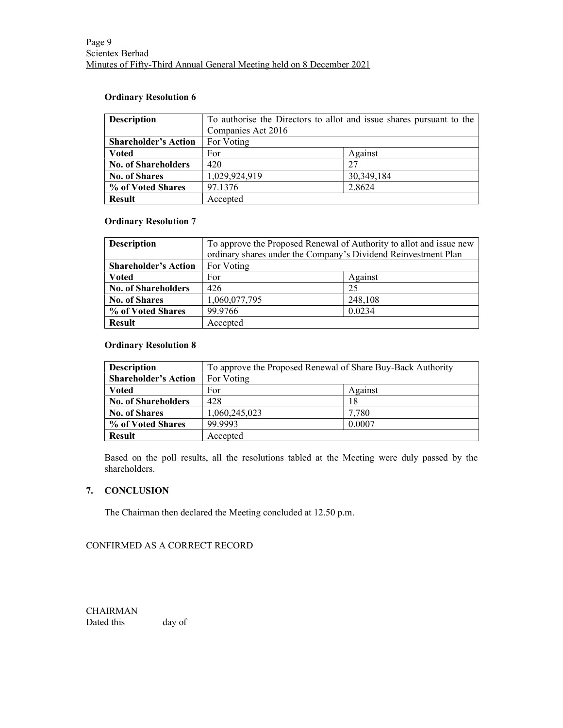## Ordinary Resolution 6

| <b>Description</b>          | To authorise the Directors to allot and issue shares pursuant to the |            |
|-----------------------------|----------------------------------------------------------------------|------------|
|                             | Companies Act 2016                                                   |            |
| <b>Shareholder's Action</b> | For Voting                                                           |            |
| <b>Voted</b>                | For                                                                  | Against    |
| <b>No. of Shareholders</b>  | 420                                                                  | 27         |
| <b>No. of Shares</b>        | 1,029,924,919                                                        | 30,349,184 |
| % of Voted Shares           | 97.1376                                                              | 2.8624     |
| <b>Result</b>               | Accepted                                                             |            |

# Ordinary Resolution 7

| <b>Description</b>          | To approve the Proposed Renewal of Authority to allot and issue new<br>ordinary shares under the Company's Dividend Reinvestment Plan |         |
|-----------------------------|---------------------------------------------------------------------------------------------------------------------------------------|---------|
| <b>Shareholder's Action</b> | For Voting                                                                                                                            |         |
| <b>Voted</b>                | For                                                                                                                                   | Against |
| <b>No. of Shareholders</b>  | 426                                                                                                                                   | 25      |
| <b>No. of Shares</b>        | 1,060,077,795                                                                                                                         | 248,108 |
| % of Voted Shares           | 99.9766                                                                                                                               | 0.0234  |
| <b>Result</b>               | Accepted                                                                                                                              |         |

# Ordinary Resolution 8

| <b>Description</b>          | To approve the Proposed Renewal of Share Buy-Back Authority |         |
|-----------------------------|-------------------------------------------------------------|---------|
| <b>Shareholder's Action</b> | For Voting                                                  |         |
| Voted                       | For                                                         | Against |
| <b>No. of Shareholders</b>  | 428                                                         | 18      |
| <b>No. of Shares</b>        | 1,060,245,023                                               | 7,780   |
| % of Voted Shares           | 99.9993                                                     | 0.0007  |
| <b>Result</b>               | Accepted                                                    |         |

Based on the poll results, all the resolutions tabled at the Meeting were duly passed by the shareholders.

# 7. CONCLUSION

The Chairman then declared the Meeting concluded at 12.50 p.m.

# CONFIRMED AS A CORRECT RECORD

CHAIRMAN Dated this day of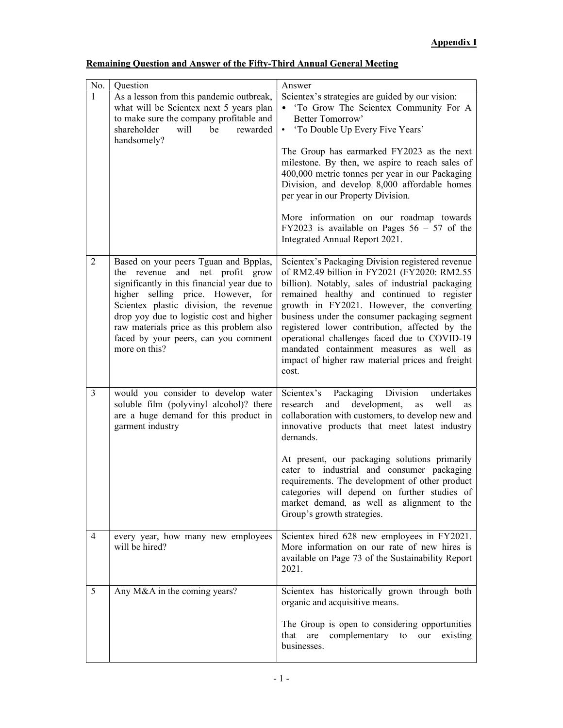| No.            | Ouestion                                                                                                                                                                                                                                                                                                                                                 | Answer                                                                                                                                                                                                                                                                                                                                                                                                                                                                                                                                 |
|----------------|----------------------------------------------------------------------------------------------------------------------------------------------------------------------------------------------------------------------------------------------------------------------------------------------------------------------------------------------------------|----------------------------------------------------------------------------------------------------------------------------------------------------------------------------------------------------------------------------------------------------------------------------------------------------------------------------------------------------------------------------------------------------------------------------------------------------------------------------------------------------------------------------------------|
| 1              | As a lesson from this pandemic outbreak,<br>what will be Scientex next 5 years plan<br>to make sure the company profitable and<br>shareholder<br>will<br>be<br>rewarded<br>handsomely?                                                                                                                                                                   | Scientex's strategies are guided by our vision:<br>• 'To Grow The Scientex Community For A<br>Better Tomorrow'<br>'To Double Up Every Five Years'<br>$\bullet$<br>The Group has earmarked FY2023 as the next<br>milestone. By then, we aspire to reach sales of<br>400,000 metric tonnes per year in our Packaging<br>Division, and develop 8,000 affordable homes<br>per year in our Property Division.<br>More information on our roadmap towards<br>FY2023 is available on Pages $56 - 57$ of the<br>Integrated Annual Report 2021. |
| 2              | Based on your peers Tguan and Bpplas,<br>the revenue and net profit grow<br>significantly in this financial year due to<br>higher selling price. However, for<br>Scientex plastic division, the revenue<br>drop yoy due to logistic cost and higher<br>raw materials price as this problem also<br>faced by your peers, can you comment<br>more on this? | Scientex's Packaging Division registered revenue<br>of RM2.49 billion in FY2021 (FY2020: RM2.55<br>billion). Notably, sales of industrial packaging<br>remained healthy and continued to register<br>growth in FY2021. However, the converting<br>business under the consumer packaging segment<br>registered lower contribution, affected by the<br>operational challenges faced due to COVID-19<br>mandated containment measures as well as<br>impact of higher raw material prices and freight<br>cost.                             |
| $\overline{3}$ | would you consider to develop water<br>soluble film (polyvinyl alcohol)? there<br>are a huge demand for this product in<br>garment industry                                                                                                                                                                                                              | Scientex's Packaging Division<br>undertakes<br>research<br>and development,<br>well<br>as<br>as<br>collaboration with customers, to develop new and<br>innovative products that meet latest industry<br>demands.<br>At present, our packaging solutions primarily<br>cater to industrial and consumer packaging<br>requirements. The development of other product<br>categories will depend on further studies of<br>market demand, as well as alignment to the<br>Group's growth strategies.                                          |
| $\overline{4}$ | every year, how many new employees<br>will be hired?                                                                                                                                                                                                                                                                                                     | Scientex hired 628 new employees in FY2021.<br>More information on our rate of new hires is<br>available on Page 73 of the Sustainability Report<br>2021.                                                                                                                                                                                                                                                                                                                                                                              |
| 5              | Any M&A in the coming years?                                                                                                                                                                                                                                                                                                                             | Scientex has historically grown through both<br>organic and acquisitive means.<br>The Group is open to considering opportunities<br>complementary to<br>that<br>are<br>our<br>existing<br>businesses.                                                                                                                                                                                                                                                                                                                                  |

# Remaining Question and Answer of the Fifty-Third Annual General Meeting